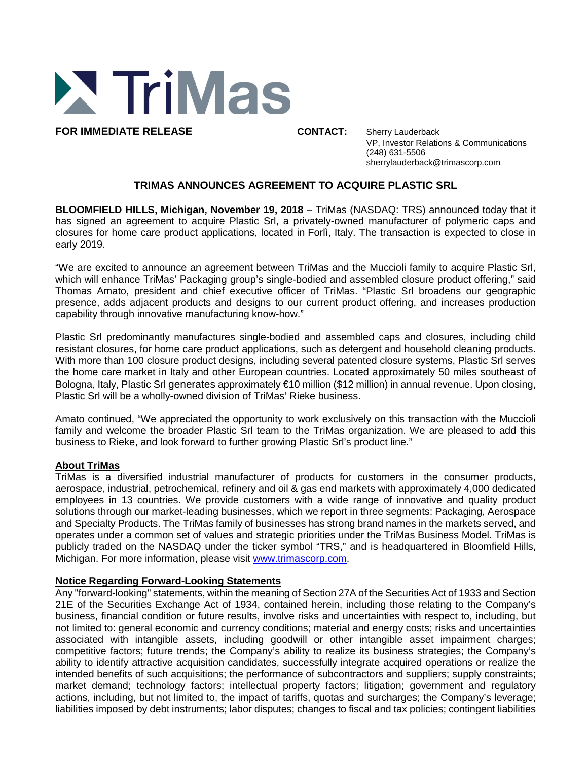

**FOR IMMEDIATE RELEASE CONTACT:** Sherry Lauderback

VP, Investor Relations & Communications (248) 631-5506 sherrylauderback@trimascorp.com

## **TRIMAS ANNOUNCES AGREEMENT TO ACQUIRE PLASTIC SRL**

**BLOOMFIELD HILLS, Michigan, November 19, 2018** – TriMas (NASDAQ: TRS) announced today that it has signed an agreement to acquire Plastic Srl, a privately-owned manufacturer of polymeric caps and closures for home care product applications, located in Forlì, Italy. The transaction is expected to close in early 2019.

"We are excited to announce an agreement between TriMas and the Muccioli family to acquire Plastic Srl, which will enhance TriMas' Packaging group's single-bodied and assembled closure product offering," said Thomas Amato, president and chief executive officer of TriMas. "Plastic Srl broadens our geographic presence, adds adjacent products and designs to our current product offering, and increases production capability through innovative manufacturing know-how."

Plastic Srl predominantly manufactures single-bodied and assembled caps and closures, including child resistant closures, for home care product applications, such as detergent and household cleaning products. With more than 100 closure product designs, including several patented closure systems, Plastic Srl serves the home care market in Italy and other European countries. Located approximately 50 miles southeast of Bologna, Italy, Plastic Srl generates approximately €10 million (\$12 million) in annual revenue. Upon closing, Plastic Srl will be a wholly-owned division of TriMas' Rieke business.

Amato continued, "We appreciated the opportunity to work exclusively on this transaction with the Muccioli family and welcome the broader Plastic Srl team to the TriMas organization. We are pleased to add this business to Rieke, and look forward to further growing Plastic Srl's product line."

## **About TriMas**

TriMas is a diversified industrial manufacturer of products for customers in the consumer products, aerospace, industrial, petrochemical, refinery and oil & gas end markets with approximately 4,000 dedicated employees in 13 countries. We provide customers with a wide range of innovative and quality product solutions through our market-leading businesses, which we report in three segments: Packaging, Aerospace and Specialty Products. The TriMas family of businesses has strong brand names in the markets served, and operates under a common set of values and strategic priorities under the TriMas Business Model. TriMas is publicly traded on the NASDAQ under the ticker symbol "TRS," and is headquartered in Bloomfield Hills, Michigan. For more information, please visit www.trimascorp.com.

## **Notice Regarding Forward-Looking Statements**

Any "forward-looking" statements, within the meaning of Section 27A of the Securities Act of 1933 and Section 21E of the Securities Exchange Act of 1934, contained herein, including those relating to the Company's business, financial condition or future results, involve risks and uncertainties with respect to, including, but not limited to: general economic and currency conditions; material and energy costs; risks and uncertainties associated with intangible assets, including goodwill or other intangible asset impairment charges; competitive factors; future trends; the Company's ability to realize its business strategies; the Company's ability to identify attractive acquisition candidates, successfully integrate acquired operations or realize the intended benefits of such acquisitions; the performance of subcontractors and suppliers; supply constraints; market demand; technology factors; intellectual property factors; litigation; government and regulatory actions, including, but not limited to, the impact of tariffs, quotas and surcharges; the Company's leverage; liabilities imposed by debt instruments; labor disputes; changes to fiscal and tax policies; contingent liabilities